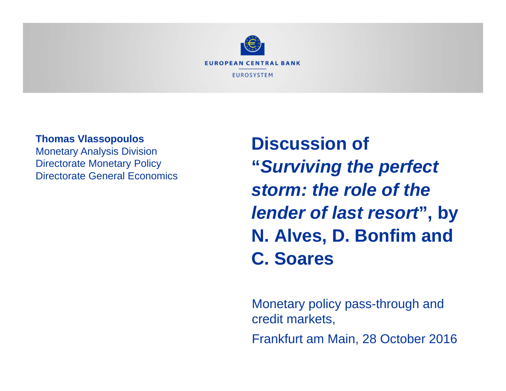

#### **Thomas Vlassopoulos**

Monetary Analysis Division Directorate Monetary Policy Directorate General Economics

**Discussion of "***Surviving the perfect storm: the role of the lender of last resort***", by N. Alves, D. Bonfim and C. Soares**

Monetary policy pass-through and credit markets,

Frankfurt am Main, 28 October 2016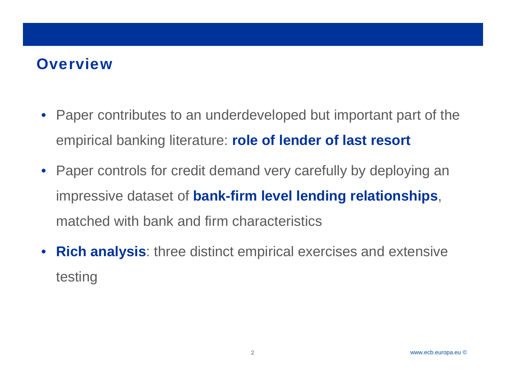## **Overview**

- $\bullet$  Paper contributes to an underdeveloped but important part of the empirical banking literature: **role of lender of last resort**
- $\bullet$  Paper controls for credit demand very carefully by deploying an impressive dataset of **bank-firm level lending relationships**, matched with bank and firm characteristics
- $\bullet$  **Rich analysis**: three distinct empirical exercises and extensive testing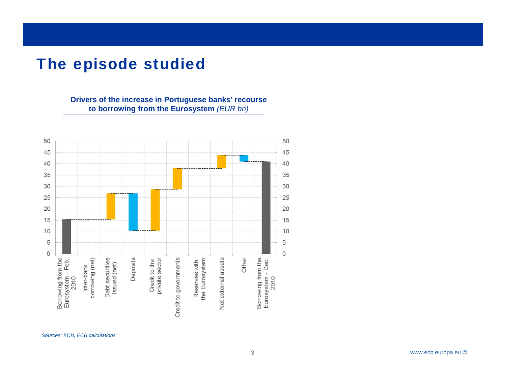**Drivers of the increase in Portuguese banks' recourse to borrowing from the Eurosystem** *(EUR bn)*

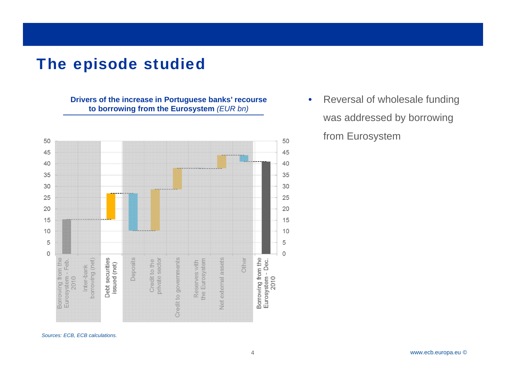**Drivers of the increase in Portuguese banks' recourse to borrowing from the Eurosystem** *(EUR bn)*



• Reversal of wholesale funding was addressed by borrowing from Eurosystem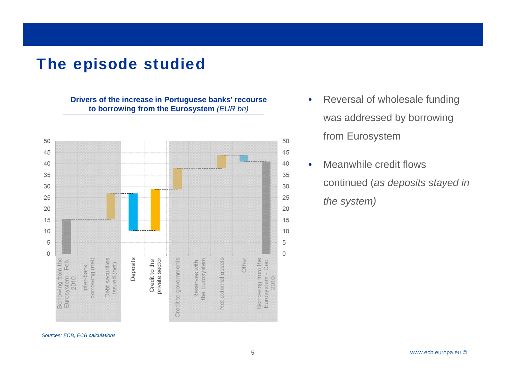**Drivers of the increase in Portuguese banks' recourse to borrowing from the Eurosystem** *(EUR bn)*



- • Reversal of wholesale funding was addressed by borrowing from Eurosystem
- • Meanwhile credit flows continued (*as deposits stayed in the system)*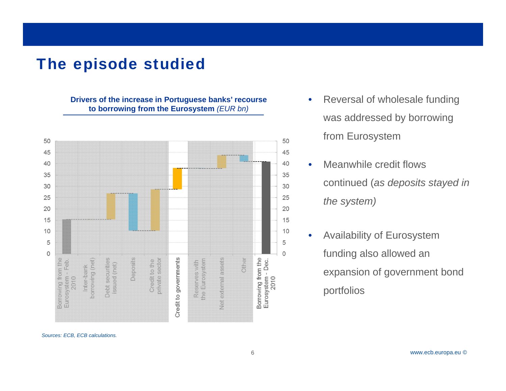**Drivers of the increase in Portuguese banks' recourse to borrowing from the Eurosystem** *(EUR bn)*



- • Reversal of wholesale funding was addressed by borrowing from Eurosystem
- • Meanwhile credit flows continued (*as deposits stayed in the system)*
- • Availability of Eurosystem funding also allowed an expansion of government bond portfolios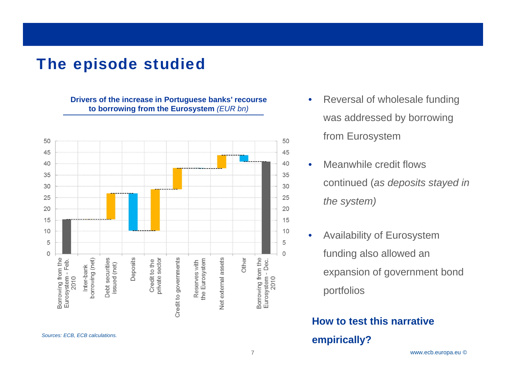**Drivers of the increase in Portuguese banks' recourse to borrowing from the Eurosystem** *(EUR bn)*



- $\bullet$  Reversal of wholesale funding was addressed by borrowing from Eurosystem
- • Meanwhile credit flows continued (*as deposits stayed in the system)*
- $\bullet$  Availability of Eurosystem funding also allowed an expansion of government bond portfolios

#### **How to test this narrative empirically?**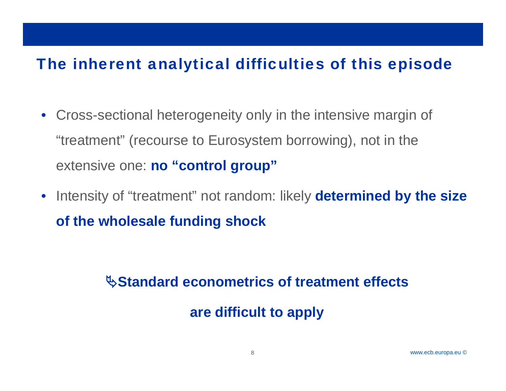# The inherent analytical difficulties of this episode

- $\bullet$  Cross-sectional heterogeneity only in the intensive margin of "treatment" (recourse to Eurosystem borrowing), not in the extensive one: **no "control group"**
- Intensity of "treatment" not random: likely **determined by the size of the wholesale funding shock**

### **Standard econometrics of treatment effects**

**are difficult to apply**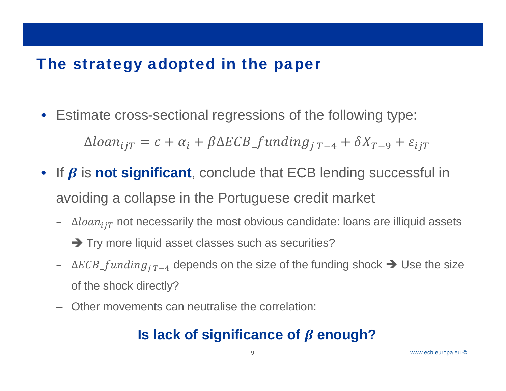# The strategy adopted in the paper

 $\bullet$ Estimate cross-sectional regressions of the following type:

 $\Delta loan_{i iT} = c + \alpha_i + \beta \Delta ECB\_funding_{i T-4} + \delta X_{T-9} + \varepsilon_{ij T}$ 

- If  $\beta$  is not significant, conclude that ECB lending successful in avoiding a collapse in the Portuguese credit market
	- $-$  ∆ $\emph{loan}_{ijT}$  not necessarily the most obvious candidate: loans are illiquid assets  $\rightarrow$  Try more liquid asset classes such as securities?
	- ∆ECB\_ $funding_{j\ T-4}$  depends on the size of the funding shock  $\blacktriangleright$  Use the size of the shock directly?
	- –Other movements can neutralise the correlation:

## **Is lack of significance of**  $\beta$  **enough?**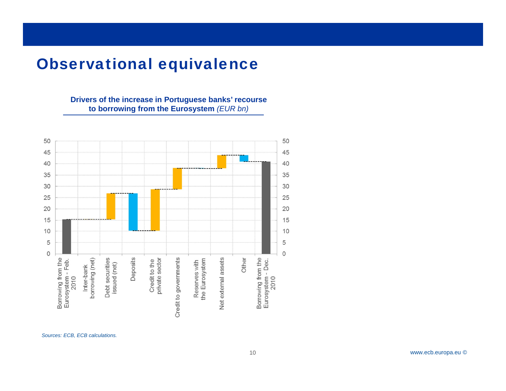## Observational equivalence

#### **Drivers of the increase in Portuguese banks' recourse to borrowing from the Eurosystem** *(EUR bn)*

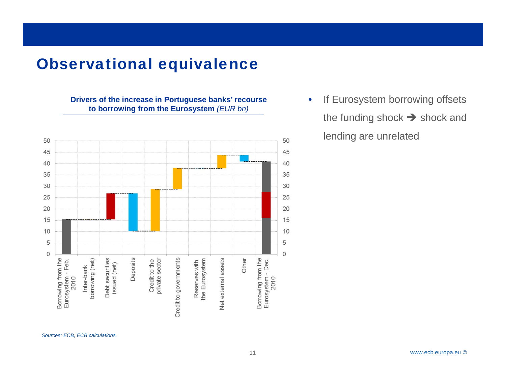### Observational equivalence





• If Eurosystem borrowing offsets the funding shock  $\rightarrow$  shock and lending are unrelated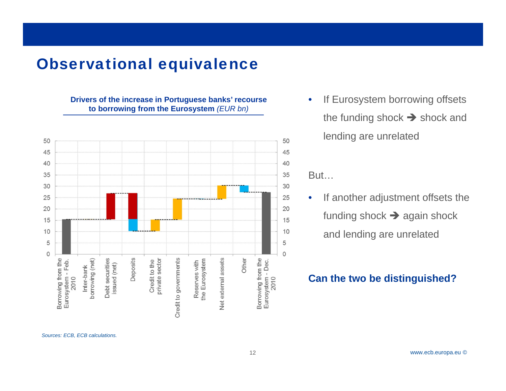### Observational equivalence

**Drivers of the increase in Portuguese banks' recourse to borrowing from the Eurosystem** *(EUR bn)*



• If Eurosystem borrowing offsets the funding shock  $\rightarrow$  shock and lending are unrelated

But…

 $\bullet$  If another adjustment offsets the funding shock  $\rightarrow$  again shock and lending are unrelated

#### **Can the two be distinguished?**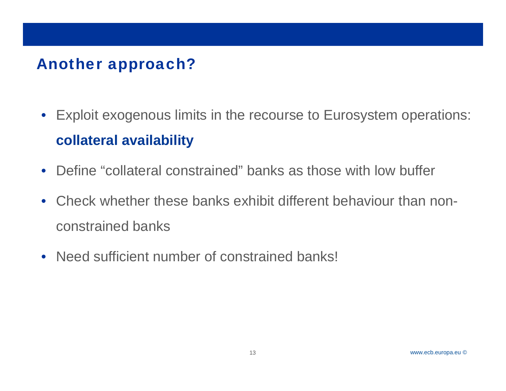# Another approach?

- $\bullet$  Exploit exogenous limits in the recourse to Eurosystem operations: **collateral availability**
- $\bullet$ Define "collateral constrained" banks as those with low buffer
- $\bullet$  Check whether these banks exhibit different behaviour than nonconstrained banks
- Need sufficient number of constrained banks!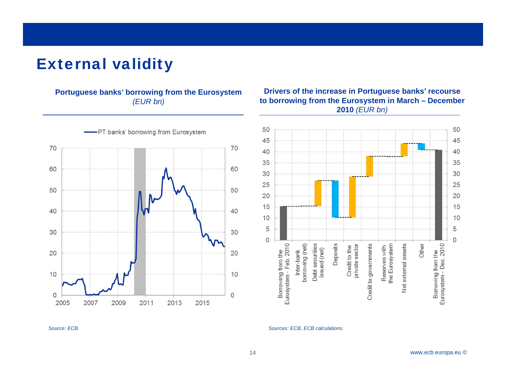### External validity

#### **Portuguese banks' borrowing from the Eurosystem** *(EUR bn)*



#### **Drivers of the increase in Portuguese banks' recourse to borrowing from the Eurosystem in March – December 2010** *(EUR bn)*



*Source: ECB.*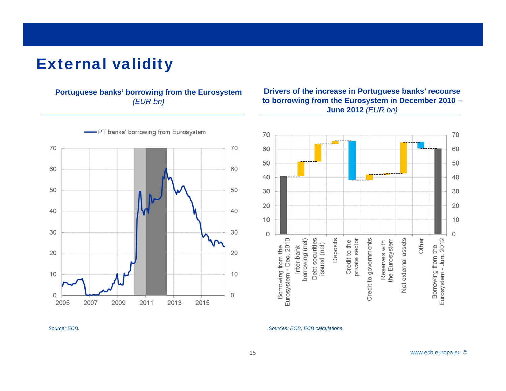## External validity

#### **Portuguese banks' borrowing from the Eurosystem** *(EUR bn)*



#### **Drivers of the increase in Portuguese banks' recourse to borrowing from the Eurosystem in December 2010 – June 2012** *(EUR bn)*



*Source: ECB.*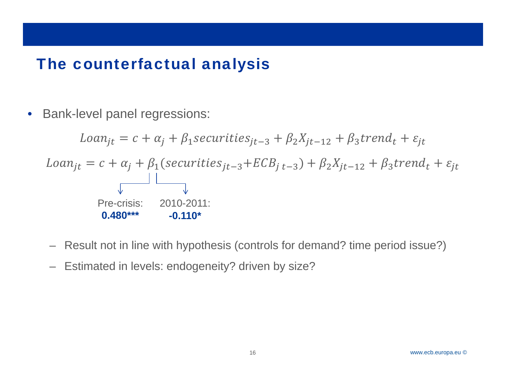## The counterfactual analysis

•Bank-level panel regressions:

 $Loan_{it} = c + \alpha_i + \beta_1$  securities<sub>it-3</sub> +  $\beta_2 X_{it-12}$  +  $\beta_3$  trend<sub>t</sub> +  $\varepsilon_{it}$  $Loan_{it} = c + \alpha_i + \beta_1$  (securities<sub>it-3</sub> + ECB<sub>it-3</sub>) +  $\beta_2 X_{it-12}$  +  $\beta_3$ trend<sub>t</sub> +  $\varepsilon_{it}$ Pre-crisis:**0.480\*\*\***2010-2011: **-0.110\***

- Result not in line with hypothesis (controls for demand? time period issue?)
- Estimated in levels: endogeneity? driven by size?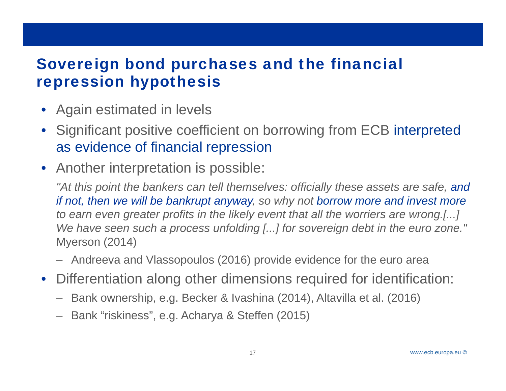# Sovereign bond purchases and the financial repression hypothesis

- •Again estimated in levels
- • Significant positive coefficient on borrowing from ECB interpreted as evidence of financial repression
- Another interpretation is possible:

*"At this point the bankers can tell themselves: officially these assets are safe, and if not, then we will be bankrupt anyway, so why not borrow more and invest more to earn even greater profits in the likely event that all the worriers are wrong.[...] We have seen such a process unfolding [...] for sovereign debt in the euro zone."*  Myerson (2014)

- Andreeva and Vlassopoulos (2016) provide evidence for the euro area
- $\bullet$  Differentiation along other dimensions required for identification:
	- Bank ownership, e.g. Becker & Ivashina (2014), Altavilla et al. (2016)
	- Bank "riskiness", e.g. Acharya & Steffen (2015)